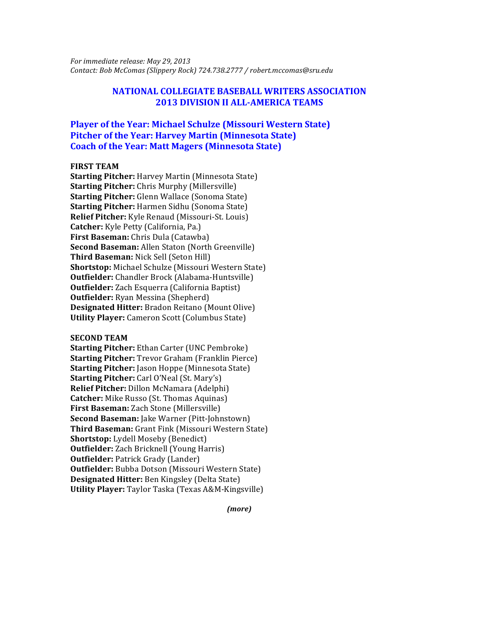*For immediate release: May 29, 2013 Contact: Bob McComas (Slippery Rock) 724.738.2777 / robert.mccomas@sru.edu*

## **NATIONAL COLLEGIATE BASEBALL WRITERS ASSOCIATION 2013 DIVISION II ALL-AMERICA TEAMS**

# **Player of the Year: Michael Schulze (Missouri Western State) Pitcher of the Year: Harvey Martin (Minnesota State) Coach of the Year: Matt Magers (Minnesota State)**

#### **FIRST TEAM**

**Starting Pitcher:** Harvey Martin (Minnesota State) **Starting Pitcher:** Chris Murphy (Millersville) **Starting Pitcher:** Glenn Wallace (Sonoma State) **Starting Pitcher:** Harmen Sidhu (Sonoma State) **Relief Pitcher:** Kyle Renaud (Missouri-St. Louis) **Catcher:** Kyle Petty (California, Pa.) **First Baseman:** Chris Dula (Catawba) **Second Baseman:** Allen Staton (North Greenville) **Third Baseman:** Nick Sell (Seton Hill) **Shortstop:** Michael Schulze (Missouri Western State) **Outfielder:** Chandler Brock (Alabama-Huntsville) **Outfielder:** Zach Esquerra (California Baptist) **Outfielder:** Ryan Messina (Shepherd) **Designated Hitter:** Bradon Reitano (Mount Olive) **Utility Player:** Cameron Scott (Columbus State)

#### **SECOND TEAM**

**Starting Pitcher:** Ethan Carter (UNC Pembroke) **Starting Pitcher:** Trevor Graham (Franklin Pierce) **Starting Pitcher:** Jason Hoppe (Minnesota State) **Starting Pitcher:** Carl O'Neal (St. Mary's) **Relief Pitcher:** Dillon McNamara (Adelphi) **Catcher:** Mike Russo (St. Thomas Aquinas) **First Baseman:** Zach Stone (Millersville) **Second Baseman:** Jake Warner (Pitt-Johnstown) **Third Baseman:** Grant Fink (Missouri Western State) **Shortstop:** Lydell Moseby (Benedict) **Outfielder:** Zach Bricknell (Young Harris) **Outfielder: Patrick Grady (Lander) Outfielder:** Bubba Dotson (Missouri Western State) **Designated Hitter:** Ben Kingsley (Delta State) **Utility Player:** Taylor Taska (Texas A&M-Kingsville)

*(more)*